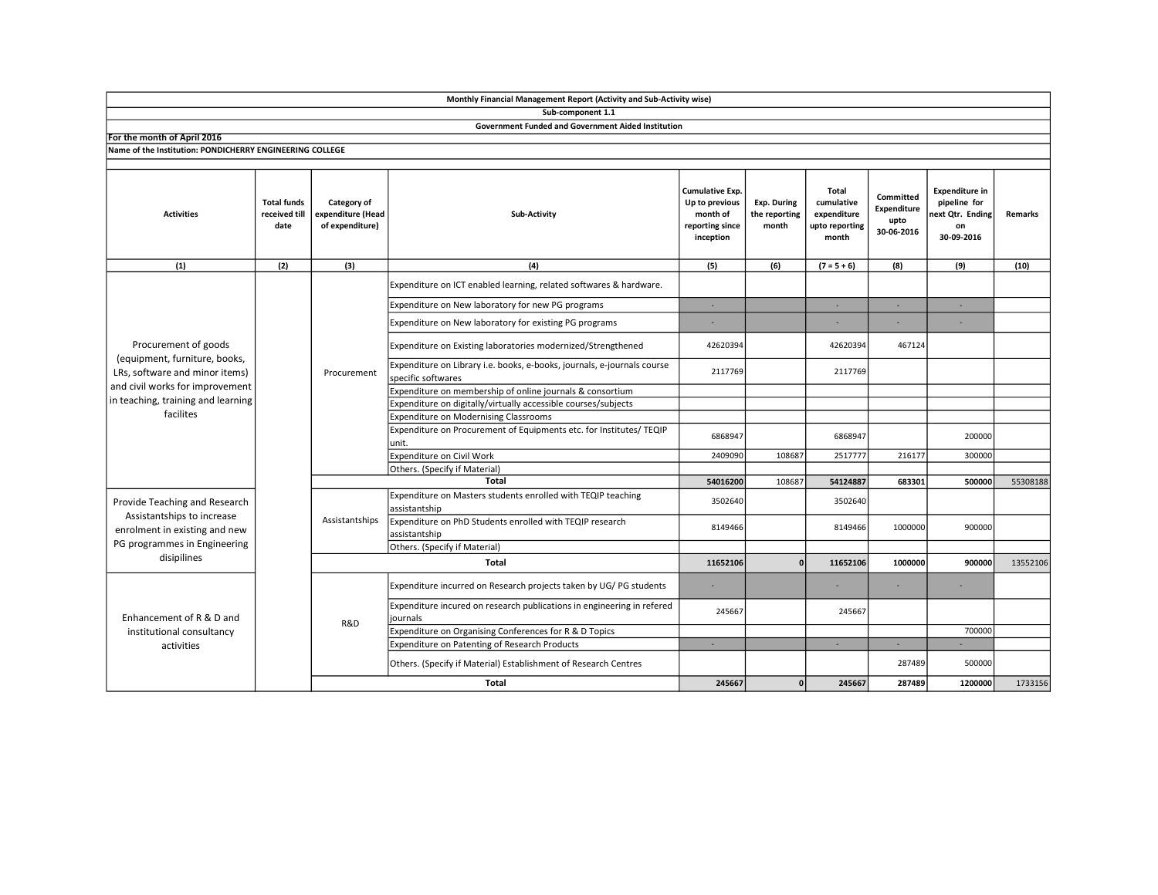|                                                                                                                                                                               |                                             |                                                     | Monthly Financial Management Report (Activity and Sub-Activity wise)                          |                                                                               |                                       |                                                               |                                                |                                                                              |          |
|-------------------------------------------------------------------------------------------------------------------------------------------------------------------------------|---------------------------------------------|-----------------------------------------------------|-----------------------------------------------------------------------------------------------|-------------------------------------------------------------------------------|---------------------------------------|---------------------------------------------------------------|------------------------------------------------|------------------------------------------------------------------------------|----------|
|                                                                                                                                                                               |                                             |                                                     | Sub-component 1.1                                                                             |                                                                               |                                       |                                                               |                                                |                                                                              |          |
|                                                                                                                                                                               |                                             |                                                     | <b>Government Funded and Government Aided Institution</b>                                     |                                                                               |                                       |                                                               |                                                |                                                                              |          |
| For the month of April 2016                                                                                                                                                   |                                             |                                                     |                                                                                               |                                                                               |                                       |                                                               |                                                |                                                                              |          |
| Name of the Institution: PONDICHERRY ENGINEERING COLLEGE                                                                                                                      |                                             |                                                     |                                                                                               |                                                                               |                                       |                                                               |                                                |                                                                              |          |
| <b>Activities</b>                                                                                                                                                             | <b>Total funds</b><br>received till<br>date | Category of<br>expenditure (Head<br>of expenditure) | Sub-Activity                                                                                  | Cumulative Exp.<br>Up to previous<br>month of<br>reporting since<br>inception | Exp. During<br>the reporting<br>month | Total<br>cumulative<br>expenditure<br>upto reporting<br>month | Committed<br>Expenditure<br>upto<br>30-06-2016 | <b>Expenditure in</b><br>pipeline for<br>ext Qtr. Ending<br>on<br>30-09-2016 | Remarks  |
| (1)                                                                                                                                                                           | (2)                                         | (3)                                                 | (4)                                                                                           | (5)                                                                           | (6)                                   | $(7 = 5 + 6)$                                                 | (8)                                            | (9)                                                                          | (10)     |
| Procurement of goods<br>(equipment, furniture, books,<br>LRs, software and minor items)<br>and civil works for improvement<br>in teaching, training and learning<br>facilites |                                             | Procurement                                         | Expenditure on ICT enabled learning, related softwares & hardware.                            |                                                                               |                                       |                                                               |                                                |                                                                              |          |
|                                                                                                                                                                               |                                             |                                                     | Expenditure on New laboratory for new PG programs                                             | ÷.                                                                            |                                       | ×.                                                            | ×.                                             | ×.                                                                           |          |
|                                                                                                                                                                               |                                             |                                                     | Expenditure on New laboratory for existing PG programs                                        |                                                                               |                                       |                                                               |                                                |                                                                              |          |
|                                                                                                                                                                               |                                             |                                                     | Expenditure on Existing laboratories modernized/Strengthened                                  | 42620394                                                                      |                                       | 42620394                                                      | 467124                                         |                                                                              |          |
|                                                                                                                                                                               |                                             |                                                     | Expenditure on Library i.e. books, e-books, journals, e-journals course<br>specific softwares | 2117769                                                                       |                                       | 2117769                                                       |                                                |                                                                              |          |
|                                                                                                                                                                               |                                             |                                                     | Expenditure on membership of online journals & consortium                                     |                                                                               |                                       |                                                               |                                                |                                                                              |          |
|                                                                                                                                                                               |                                             |                                                     | Expenditure on digitally/virtually accessible courses/subjects                                |                                                                               |                                       |                                                               |                                                |                                                                              |          |
|                                                                                                                                                                               |                                             |                                                     | <b>Expenditure on Modernising Classrooms</b>                                                  |                                                                               |                                       |                                                               |                                                |                                                                              |          |
|                                                                                                                                                                               |                                             |                                                     | Expenditure on Procurement of Equipments etc. for Institutes/ TEQIP<br>unit.                  | 6868947                                                                       |                                       | 6868947                                                       |                                                | 200000                                                                       |          |
|                                                                                                                                                                               |                                             |                                                     | Expenditure on Civil Work                                                                     | 2409090                                                                       | 108687                                | 2517777                                                       | 216177                                         | 300000                                                                       |          |
|                                                                                                                                                                               |                                             |                                                     | Others. (Specify if Material)                                                                 |                                                                               |                                       |                                                               |                                                |                                                                              |          |
|                                                                                                                                                                               |                                             |                                                     | <b>Total</b>                                                                                  | 54016200                                                                      | 108687                                | 54124887                                                      | 683301                                         | 500000                                                                       | 55308188 |
| Provide Teaching and Research<br>Assistantships to increase<br>enrolment in existing and new<br>PG programmes in Engineering<br>disipilines                                   |                                             | Assistantships                                      | Expenditure on Masters students enrolled with TEQIP teaching<br>assistantship                 | 3502640                                                                       |                                       | 3502640                                                       |                                                |                                                                              |          |
|                                                                                                                                                                               |                                             |                                                     | Expenditure on PhD Students enrolled with TEQIP research<br>assistantship                     | 8149466                                                                       |                                       | 8149466                                                       | 1000000                                        | 900000                                                                       |          |
|                                                                                                                                                                               |                                             |                                                     | Others. (Specify if Material)                                                                 |                                                                               |                                       |                                                               |                                                |                                                                              |          |
|                                                                                                                                                                               |                                             | Total                                               |                                                                                               | 11652106                                                                      | $\Omega$                              | 11652106                                                      | 1000000                                        | 900000                                                                       | 13552106 |
| Enhancement of R & D and<br>institutional consultancy<br>activities                                                                                                           |                                             | R&D                                                 | Expenditure incurred on Research projects taken by UG/PG students                             | ×                                                                             |                                       |                                                               |                                                |                                                                              |          |
|                                                                                                                                                                               |                                             |                                                     | Expenditure incured on research publications in engineering in refered<br>journals            | 245667                                                                        |                                       | 245667                                                        |                                                |                                                                              |          |
|                                                                                                                                                                               |                                             |                                                     | Expenditure on Organising Conferences for R & D Topics                                        |                                                                               |                                       |                                                               |                                                | 700000                                                                       |          |
|                                                                                                                                                                               |                                             |                                                     | Expenditure on Patenting of Research Products                                                 | ÷.                                                                            |                                       | ×.                                                            | ×.                                             |                                                                              |          |
|                                                                                                                                                                               |                                             |                                                     | Others. (Specify if Material) Establishment of Research Centres                               |                                                                               |                                       |                                                               | 287489                                         | 500000                                                                       |          |
|                                                                                                                                                                               |                                             |                                                     | <b>Total</b>                                                                                  | 245667                                                                        | $\mathbf{0}$                          | 245667                                                        | 287489                                         | 1200000                                                                      | 1733156  |